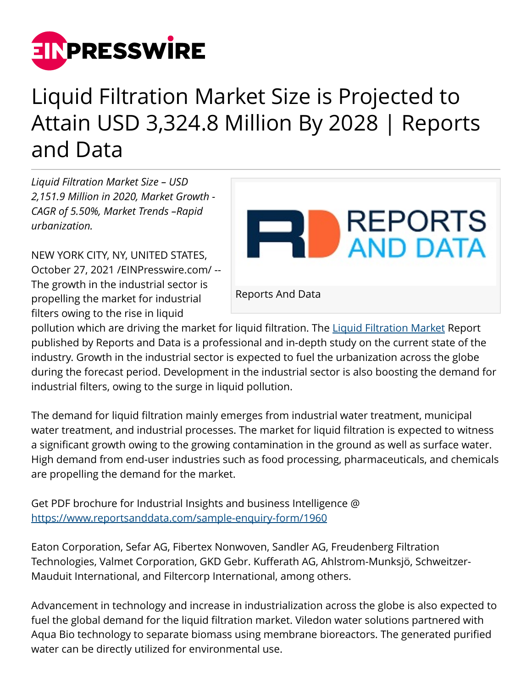

## Liquid Filtration Market Size is Projected to Attain USD 3,324.8 Million By 2028 | Reports and Data

*Liquid Filtration Market Size – USD 2,151.9 Million in 2020, Market Growth - CAGR of 5.50%, Market Trends –Rapid urbanization.*

NEW YORK CITY, NY, UNITED STATES, October 27, 2021 [/EINPresswire.com](http://www.einpresswire.com)/ -- The growth in the industrial sector is propelling the market for industrial filters owing to the rise in liquid



pollution which are driving the market for liquid filtration. The [Liquid Filtration Market](https://www.reportsanddata.com/report-detail/liquid-filtration-market) Report published by Reports and Data is a professional and in-depth study on the current state of the industry. Growth in the industrial sector is expected to fuel the urbanization across the globe during the forecast period. Development in the industrial sector is also boosting the demand for industrial filters, owing to the surge in liquid pollution.

The demand for liquid filtration mainly emerges from industrial water treatment, municipal water treatment, and industrial processes. The market for liquid filtration is expected to witness a significant growth owing to the growing contamination in the ground as well as surface water. High demand from end-user industries such as food processing, pharmaceuticals, and chemicals are propelling the demand for the market.

Get PDF brochure for Industrial Insights and business Intelligence @ <https://www.reportsanddata.com/sample-enquiry-form/1960>

Eaton Corporation, Sefar AG, Fibertex Nonwoven, Sandler AG, Freudenberg Filtration Technologies, Valmet Corporation, GKD Gebr. Kufferath AG, Ahlstrom-Munksjö, Schweitzer-Mauduit International, and Filtercorp International, among others.

Advancement in technology and increase in industrialization across the globe is also expected to fuel the global demand for the liquid filtration market. Viledon water solutions partnered with Aqua Bio technology to separate biomass using membrane bioreactors. The generated purified water can be directly utilized for environmental use.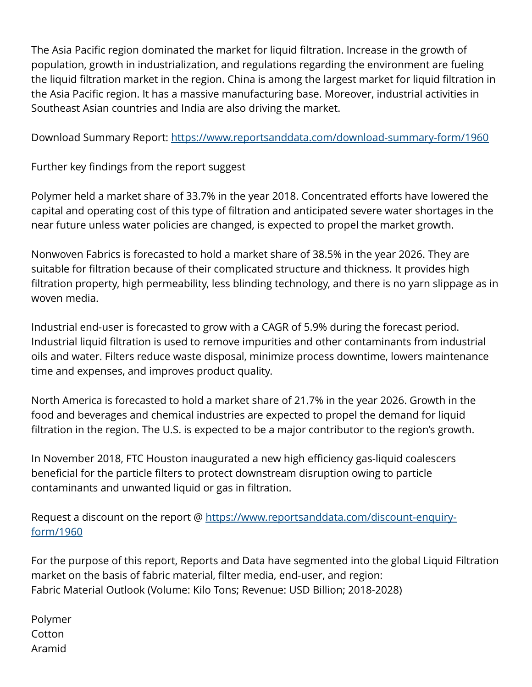The Asia Pacific region dominated the market for liquid filtration. Increase in the growth of population, growth in industrialization, and regulations regarding the environment are fueling the liquid filtration market in the region. China is among the largest market for liquid filtration in the Asia Pacific region. It has a massive manufacturing base. Moreover, industrial activities in Southeast Asian countries and India are also driving the market.

Download Summary Report: <https://www.reportsanddata.com/download-summary-form/1960>

Further key findings from the report suggest

Polymer held a market share of 33.7% in the year 2018. Concentrated efforts have lowered the capital and operating cost of this type of filtration and anticipated severe water shortages in the near future unless water policies are changed, is expected to propel the market growth.

Nonwoven Fabrics is forecasted to hold a market share of 38.5% in the year 2026. They are suitable for filtration because of their complicated structure and thickness. It provides high filtration property, high permeability, less blinding technology, and there is no yarn slippage as in woven media.

Industrial end-user is forecasted to grow with a CAGR of 5.9% during the forecast period. Industrial liquid filtration is used to remove impurities and other contaminants from industrial oils and water. Filters reduce waste disposal, minimize process downtime, lowers maintenance time and expenses, and improves product quality.

North America is forecasted to hold a market share of 21.7% in the year 2026. Growth in the food and beverages and chemical industries are expected to propel the demand for liquid filtration in the region. The U.S. is expected to be a major contributor to the region's growth.

In November 2018, FTC Houston inaugurated a new high efficiency gas-liquid coalescers beneficial for the particle filters to protect downstream disruption owing to particle contaminants and unwanted liquid or gas in filtration.

Request a discount on the report @ [https://www.reportsanddata.com/discount-enquiry](https://www.reportsanddata.com/discount-enquiry-form/1960)[form/1960](https://www.reportsanddata.com/discount-enquiry-form/1960)

For the purpose of this report, Reports and Data have segmented into the global Liquid Filtration market on the basis of fabric material, filter media, end-user, and region: Fabric Material Outlook (Volume: Kilo Tons; Revenue: USD Billion; 2018-2028)

| Polymer |
|---------|
| Cotton  |
| Aramid  |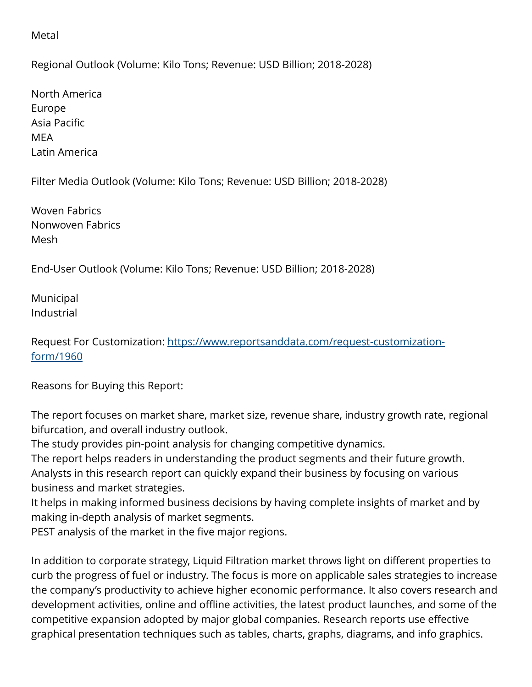## Metal

Regional Outlook (Volume: Kilo Tons; Revenue: USD Billion; 2018-2028)

North America Europe Asia Pacific MEA Latin America

Filter Media Outlook (Volume: Kilo Tons; Revenue: USD Billion; 2018-2028)

Woven Fabrics Nonwoven Fabrics Mesh

End-User Outlook (Volume: Kilo Tons; Revenue: USD Billion; 2018-2028)

Municipal Industrial

Request For Customization: [https://www.reportsanddata.com/request-customization](https://www.reportsanddata.com/request-customization-form/1960)[form/1960](https://www.reportsanddata.com/request-customization-form/1960)

Reasons for Buying this Report:

The report focuses on market share, market size, revenue share, industry growth rate, regional bifurcation, and overall industry outlook.

The study provides pin-point analysis for changing competitive dynamics.

The report helps readers in understanding the product segments and their future growth. Analysts in this research report can quickly expand their business by focusing on various business and market strategies.

It helps in making informed business decisions by having complete insights of market and by making in-depth analysis of market segments.

PEST analysis of the market in the five major regions.

In addition to corporate strategy, Liquid Filtration market throws light on different properties to curb the progress of fuel or industry. The focus is more on applicable sales strategies to increase the company's productivity to achieve higher economic performance. It also covers research and development activities, online and offline activities, the latest product launches, and some of the competitive expansion adopted by major global companies. Research reports use effective graphical presentation techniques such as tables, charts, graphs, diagrams, and info graphics.